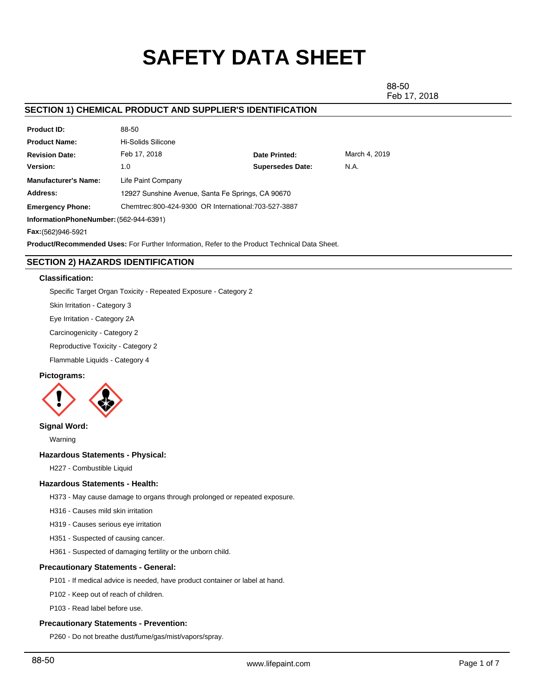# **SAFETY DATA SHEET**

88-50 Feb 17, 2018

# **SECTION 1) CHEMICAL PRODUCT AND SUPPLIER'S IDENTIFICATION**

| <b>Product ID:</b>                                                                                   | 88-50                                                 |                         |               |  |  |
|------------------------------------------------------------------------------------------------------|-------------------------------------------------------|-------------------------|---------------|--|--|
| <b>Product Name:</b>                                                                                 | Hi-Solids Silicone                                    |                         |               |  |  |
| <b>Revision Date:</b>                                                                                | Feb 17, 2018                                          | Date Printed:           | March 4, 2019 |  |  |
| Version:                                                                                             | 1.0                                                   | <b>Supersedes Date:</b> | N.A.          |  |  |
| <b>Manufacturer's Name:</b>                                                                          | Life Paint Company                                    |                         |               |  |  |
| Address:                                                                                             | 12927 Sunshine Avenue, Santa Fe Springs, CA 90670     |                         |               |  |  |
| <b>Emergency Phone:</b>                                                                              | Chemtrec: 800-424-9300 OR International: 703-527-3887 |                         |               |  |  |
| InformationPhoneNumber: (562-944-6391)                                                               |                                                       |                         |               |  |  |
| Fax: (562) 946-5921                                                                                  |                                                       |                         |               |  |  |
| <b>Product/Recommended Uses:</b> For Further Information, Refer to the Product Technical Data Sheet. |                                                       |                         |               |  |  |

# **SECTION 2) HAZARDS IDENTIFICATION**

#### **Classification:**

Specific Target Organ Toxicity - Repeated Exposure - Category 2

Skin Irritation - Category 3

Eye Irritation - Category 2A

Carcinogenicity - Category 2

Reproductive Toxicity - Category 2

Flammable Liquids - Category 4

#### **Pictograms:**



### **Signal Word:**

Warning

# **Hazardous Statements - Physical:**

H227 - Combustible Liquid

# **Hazardous Statements - Health:**

H373 - May cause damage to organs through prolonged or repeated exposure.

H316 - Causes mild skin irritation

H319 - Causes serious eye irritation

H351 - Suspected of causing cancer.

H361 - Suspected of damaging fertility or the unborn child.

#### **Precautionary Statements - General:**

P101 - If medical advice is needed, have product container or label at hand.

P102 - Keep out of reach of children.

P103 - Read label before use.

#### **Precautionary Statements - Prevention:**

P260 - Do not breathe dust/fume/gas/mist/vapors/spray.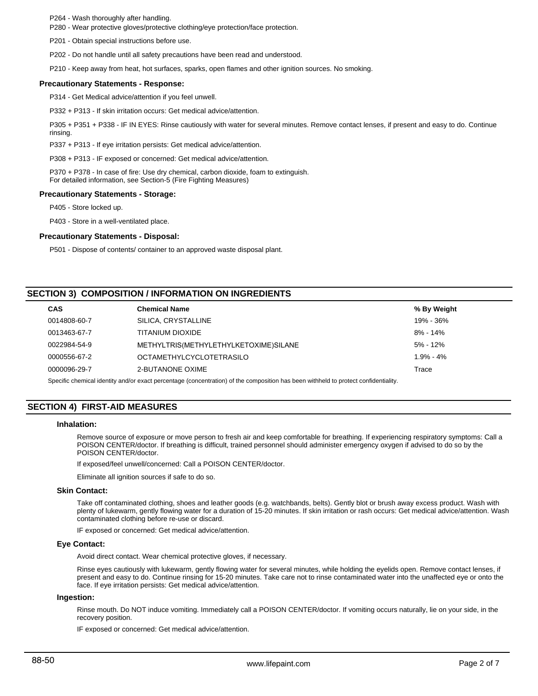P264 - Wash thoroughly after handling.

P280 - Wear protective gloves/protective clothing/eye protection/face protection.

P201 - Obtain special instructions before use.

P202 - Do not handle until all safety precautions have been read and understood.

P210 - Keep away from heat, hot surfaces, sparks, open flames and other ignition sources. No smoking.

#### **Precautionary Statements - Response:**

P314 - Get Medical advice/attention if you feel unwell.

P332 + P313 - If skin irritation occurs: Get medical advice/attention.

P305 + P351 + P338 - IF IN EYES: Rinse cautiously with water for several minutes. Remove contact lenses, if present and easy to do. Continue rinsing.

P337 + P313 - If eye irritation persists: Get medical advice/attention.

P308 + P313 - IF exposed or concerned: Get medical advice/attention.

P370 + P378 - In case of fire: Use dry chemical, carbon dioxide, foam to extinguish. For detailed information, see Section-5 (Fire Fighting Measures)

#### **Precautionary Statements - Storage:**

P405 - Store locked up.

P403 - Store in a well-ventilated place.

#### **Precautionary Statements - Disposal:**

P501 - Dispose of contents/ container to an approved waste disposal plant.

# **SECTION 3) COMPOSITION / INFORMATION ON INGREDIENTS**

| <b>Chemical Name</b>                  | % By Weight   |
|---------------------------------------|---------------|
| SILICA, CRYSTALLINE                   | 19% - 36%     |
| TITANIUM DIOXIDE                      | $8\% - 14\%$  |
| METHYLTRIS(METHYLETHYLKETOXIME)SILANE | $5\% - 12\%$  |
| <b>OCTAMETHYLCYCLOTETRASILO</b>       | $1.9\% - 4\%$ |
| 2-BUTANONE OXIME                      | Trace         |
|                                       |               |

Specific chemical identity and/or exact percentage (concentration) of the composition has been withheld to protect confidentiality.

# **SECTION 4) FIRST-AID MEASURES**

#### **Inhalation:**

Remove source of exposure or move person to fresh air and keep comfortable for breathing. If experiencing respiratory symptoms: Call a POISON CENTER/doctor. If breathing is difficult, trained personnel should administer emergency oxygen if advised to do so by the POISON CENTER/doctor.

If exposed/feel unwell/concerned: Call a POISON CENTER/doctor.

Eliminate all ignition sources if safe to do so.

#### **Skin Contact:**

Take off contaminated clothing, shoes and leather goods (e.g. watchbands, belts). Gently blot or brush away excess product. Wash with plenty of lukewarm, gently flowing water for a duration of 15-20 minutes. If skin irritation or rash occurs: Get medical advice/attention. Wash contaminated clothing before re-use or discard.

IF exposed or concerned: Get medical advice/attention.

#### **Eye Contact:**

Avoid direct contact. Wear chemical protective gloves, if necessary.

Rinse eyes cautiously with lukewarm, gently flowing water for several minutes, while holding the eyelids open. Remove contact lenses, if present and easy to do. Continue rinsing for 15-20 minutes. Take care not to rinse contaminated water into the unaffected eye or onto the face. If eye irritation persists: Get medical advice/attention.

#### **Ingestion:**

Rinse mouth. Do NOT induce vomiting. Immediately call a POISON CENTER/doctor. If vomiting occurs naturally, lie on your side, in the recovery position.

IF exposed or concerned: Get medical advice/attention.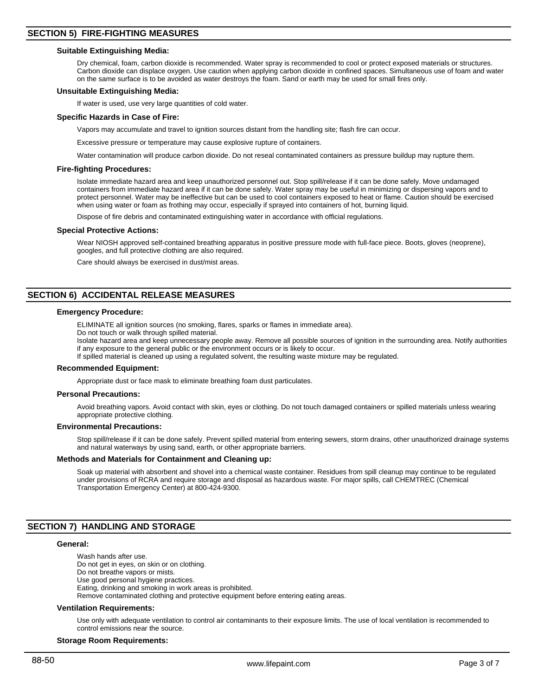#### **Suitable Extinguishing Media:**

Dry chemical, foam, carbon dioxide is recommended. Water spray is recommended to cool or protect exposed materials or structures. Carbon dioxide can displace oxygen. Use caution when applying carbon dioxide in confined spaces. Simultaneous use of foam and water on the same surface is to be avoided as water destroys the foam. Sand or earth may be used for small fires only.

#### **Unsuitable Extinguishing Media:**

If water is used, use very large quantities of cold water.

#### **Specific Hazards in Case of Fire:**

Vapors may accumulate and travel to ignition sources distant from the handling site; flash fire can occur.

Excessive pressure or temperature may cause explosive rupture of containers.

Water contamination will produce carbon dioxide. Do not reseal contaminated containers as pressure buildup may rupture them.

#### **Fire-fighting Procedures:**

Isolate immediate hazard area and keep unauthorized personnel out. Stop spill/release if it can be done safely. Move undamaged containers from immediate hazard area if it can be done safely. Water spray may be useful in minimizing or dispersing vapors and to protect personnel. Water may be ineffective but can be used to cool containers exposed to heat or flame. Caution should be exercised when using water or foam as frothing may occur, especially if sprayed into containers of hot, burning liquid.

Dispose of fire debris and contaminated extinguishing water in accordance with official regulations.

#### **Special Protective Actions:**

Wear NIOSH approved self-contained breathing apparatus in positive pressure mode with full-face piece. Boots, gloves (neoprene), googles, and full protective clothing are also required.

Care should always be exercised in dust/mist areas.

# **SECTION 6) ACCIDENTAL RELEASE MEASURES**

#### **Emergency Procedure:**

ELIMINATE all ignition sources (no smoking, flares, sparks or flames in immediate area).

Do not touch or walk through spilled material.

Isolate hazard area and keep unnecessary people away. Remove all possible sources of ignition in the surrounding area. Notify authorities if any exposure to the general public or the environment occurs or is likely to occur.

If spilled material is cleaned up using a regulated solvent, the resulting waste mixture may be regulated.

#### **Recommended Equipment:**

Appropriate dust or face mask to eliminate breathing foam dust particulates.

#### **Personal Precautions:**

Avoid breathing vapors. Avoid contact with skin, eyes or clothing. Do not touch damaged containers or spilled materials unless wearing appropriate protective clothing.

#### **Environmental Precautions:**

Stop spill/release if it can be done safely. Prevent spilled material from entering sewers, storm drains, other unauthorized drainage systems and natural waterways by using sand, earth, or other appropriate barriers.

#### **Methods and Materials for Containment and Cleaning up:**

Soak up material with absorbent and shovel into a chemical waste container. Residues from spill cleanup may continue to be regulated under provisions of RCRA and require storage and disposal as hazardous waste. For major spills, call CHEMTREC (Chemical Transportation Emergency Center) at 800-424-9300.

#### **SECTION 7) HANDLING AND STORAGE**

#### **General:**

Wash hands after use. Do not get in eyes, on skin or on clothing. Do not breathe vapors or mists. Use good personal hygiene practices. Eating, drinking and smoking in work areas is prohibited. Remove contaminated clothing and protective equipment before entering eating areas.

#### **Ventilation Requirements:**

Use only with adequate ventilation to control air contaminants to their exposure limits. The use of local ventilation is recommended to control emissions near the source.

#### **Storage Room Requirements:**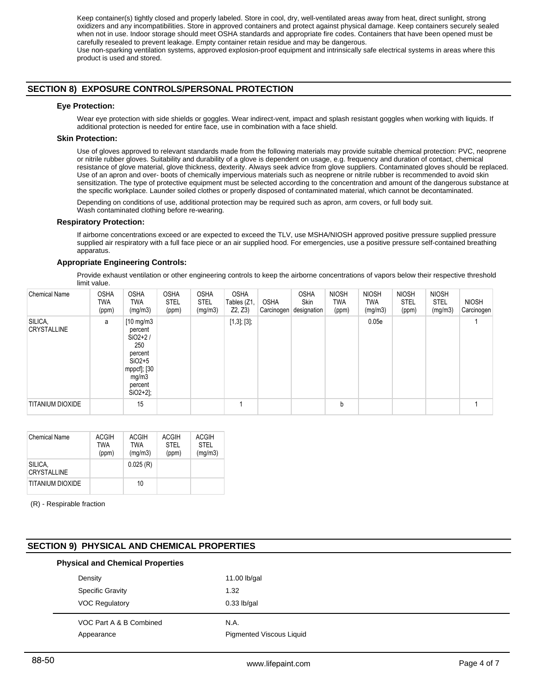Keep container(s) tightly closed and properly labeled. Store in cool, dry, well-ventilated areas away from heat, direct sunlight, strong oxidizers and any incompatibilities. Store in approved containers and protect against physical damage. Keep containers securely sealed when not in use. Indoor storage should meet OSHA standards and appropriate fire codes. Containers that have been opened must be carefully resealed to prevent leakage. Empty container retain residue and may be dangerous. Use non-sparking ventilation systems, approved explosion-proof equipment and intrinsically safe electrical systems in areas where this product is used and stored.

# **SECTION 8) EXPOSURE CONTROLS/PERSONAL PROTECTION**

#### **Eye Protection:**

Wear eye protection with side shields or goggles. Wear indirect-vent, impact and splash resistant goggles when working with liquids. If additional protection is needed for entire face, use in combination with a face shield.

#### **Skin Protection:**

Use of gloves approved to relevant standards made from the following materials may provide suitable chemical protection: PVC, neoprene or nitrile rubber gloves. Suitability and durability of a glove is dependent on usage, e.g. frequency and duration of contact, chemical resistance of glove material, glove thickness, dexterity. Always seek advice from glove suppliers. Contaminated gloves should be replaced. Use of an apron and over- boots of chemically impervious materials such as neoprene or nitrile rubber is recommended to avoid skin sensitization. The type of protective equipment must be selected according to the concentration and amount of the dangerous substance at the specific workplace. Launder soiled clothes or properly disposed of contaminated material, which cannot be decontaminated.

Depending on conditions of use, additional protection may be required such as apron, arm covers, or full body suit. Wash contaminated clothing before re-wearing.

#### **Respiratory Protection:**

If airborne concentrations exceed or are expected to exceed the TLV, use MSHA/NIOSH approved positive pressure supplied pressure supplied air respiratory with a full face piece or an air supplied hood. For emergencies, use a positive pressure self-contained breathing apparatus.

#### **Appropriate Engineering Controls:**

Provide exhaust ventilation or other engineering controls to keep the airborne concentrations of vapors below their respective threshold limit value.

| <b>Chemical Name</b>          | <b>OSHA</b><br>TWA<br>(ppm) | <b>OSHA</b><br><b>TWA</b><br>(mg/m3)                                                                                         | <b>OSHA</b><br><b>STEL</b><br>(ppm) | <b>OSHA</b><br><b>STEL</b><br>(mg/m3) | <b>OSHA</b><br>Tables (Z1,<br>Z2, Z3 | <b>OSHA</b><br>Carcinogen | <b>OSHA</b><br>Skin<br>designation | <b>NIOSH</b><br><b>TWA</b><br>(ppm) | <b>NIOSH</b><br>TWA<br>(mg/m3) | <b>NIOSH</b><br><b>STEL</b><br>(ppm) | <b>NIOSH</b><br><b>STEL</b><br>(mg/m3) | <b>NIOSH</b><br>Carcinogen |
|-------------------------------|-----------------------------|------------------------------------------------------------------------------------------------------------------------------|-------------------------------------|---------------------------------------|--------------------------------------|---------------------------|------------------------------------|-------------------------------------|--------------------------------|--------------------------------------|----------------------------------------|----------------------------|
| SILICA,<br><b>CRYSTALLINE</b> | a                           | $[10 \text{ mg/m3}]$<br>percent<br>$SiO2+2/$<br>250<br>percent<br>$SiO2+5$<br>mppcf]; [30<br>mg/m3<br>percent<br>$SiO2+2$ ]; |                                     |                                       | $[1,3]$ ; $[3]$ ;                    |                           |                                    |                                     | 0.05e                          |                                      |                                        |                            |
| <b>TITANIUM DIOXIDE</b>       |                             | 15                                                                                                                           |                                     |                                       |                                      |                           |                                    | b                                   |                                |                                      |                                        |                            |

| <b>Chemical Name</b>          | ACGIH<br><b>TWA</b><br>(ppm) | <b>ACGIH</b><br><b>TWA</b><br>(mg/m3) | ACGIH<br><b>STEL</b><br>(ppm) | ACGIH<br><b>STEL</b><br>(mg/m3) |
|-------------------------------|------------------------------|---------------------------------------|-------------------------------|---------------------------------|
| SILICA,<br><b>CRYSTALLINE</b> |                              | 0.025(R)                              |                               |                                 |
| TITANIUM DIOXIDE              |                              | 10                                    |                               |                                 |

(R) - Respirable fraction

# **SECTION 9) PHYSICAL AND CHEMICAL PROPERTIES**

# VOC Part A & B Combined N.A. Appearance Pigmented Viscous Liquid **Physical and Chemical Properties** Density 11.00 lb/gal Specific Gravity 1.32 VOC Regulatory 0.33 lb/gal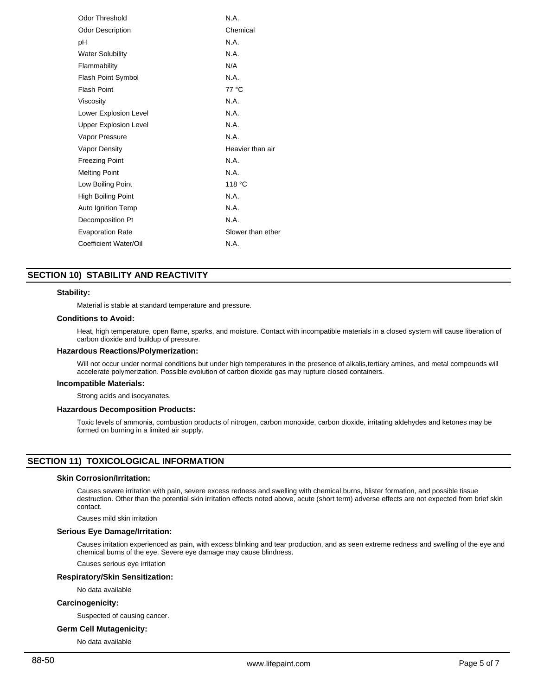| Odor Threshold               | N.A.              |
|------------------------------|-------------------|
| <b>Odor Description</b>      | Chemical          |
| рH                           | N.A.              |
| <b>Water Solubility</b>      | N.A.              |
| Flammability                 | N/A               |
| Flash Point Symbol           | N.A.              |
| <b>Flash Point</b>           | 77 °C             |
| Viscosity                    | N.A.              |
| Lower Explosion Level        | N.A.              |
| <b>Upper Explosion Level</b> | N.A.              |
| Vapor Pressure               | N.A.              |
| Vapor Density                | Heavier than air  |
| <b>Freezing Point</b>        | N.A.              |
| <b>Melting Point</b>         | N.A.              |
| Low Boiling Point            | 118 °C            |
| High Boiling Point           | N.A.              |
| Auto Ignition Temp           | N.A.              |
| Decomposition Pt             | N.A.              |
| <b>Evaporation Rate</b>      | Slower than ether |
| Coefficient Water/Oil        | N.A.              |
|                              |                   |

# **SECTION 10) STABILITY AND REACTIVITY**

#### **Stability:**

Material is stable at standard temperature and pressure.

#### **Conditions to Avoid:**

Heat, high temperature, open flame, sparks, and moisture. Contact with incompatible materials in a closed system will cause liberation of carbon dioxide and buildup of pressure.

#### **Hazardous Reactions/Polymerization:**

Will not occur under normal conditions but under high temperatures in the presence of alkalis,tertiary amines, and metal compounds will accelerate polymerization. Possible evolution of carbon dioxide gas may rupture closed containers.

#### **Incompatible Materials:**

Strong acids and isocyanates.

#### **Hazardous Decomposition Products:**

Toxic levels of ammonia, combustion products of nitrogen, carbon monoxide, carbon dioxide, irritating aldehydes and ketones may be formed on burning in a limited air supply.

# **SECTION 11) TOXICOLOGICAL INFORMATION**

### **Skin Corrosion/Irritation:**

Causes severe irritation with pain, severe excess redness and swelling with chemical burns, blister formation, and possible tissue destruction. Other than the potential skin irritation effects noted above, acute (short term) adverse effects are not expected from brief skin contact.

Causes mild skin irritation

### **Serious Eye Damage/Irritation:**

Causes irritation experienced as pain, with excess blinking and tear production, and as seen extreme redness and swelling of the eye and chemical burns of the eye. Severe eye damage may cause blindness.

Causes serious eye irritation

#### **Respiratory/Skin Sensitization:**

No data available

# **Carcinogenicity:**

Suspected of causing cancer.

#### **Germ Cell Mutagenicity:**

No data available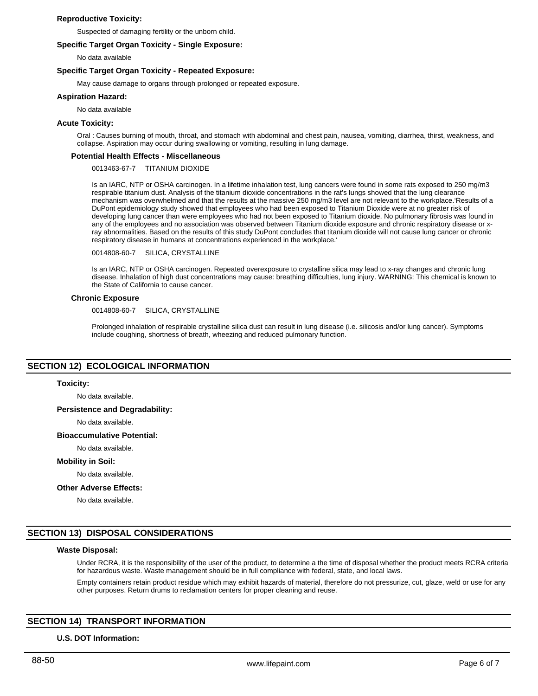#### **Reproductive Toxicity:**

Suspected of damaging fertility or the unborn child.

#### **Specific Target Organ Toxicity - Single Exposure:**

No data available

#### **Specific Target Organ Toxicity - Repeated Exposure:**

May cause damage to organs through prolonged or repeated exposure.

#### **Aspiration Hazard:**

No data available

#### **Acute Toxicity:**

Oral : Causes burning of mouth, throat, and stomach with abdominal and chest pain, nausea, vomiting, diarrhea, thirst, weakness, and collapse. Aspiration may occur during swallowing or vomiting, resulting in lung damage.

#### **Potential Health Effects - Miscellaneous**

0013463-67-7 TITANIUM DIOXIDE

Is an IARC, NTP or OSHA carcinogen. In a lifetime inhalation test, lung cancers were found in some rats exposed to 250 mg/m3 respirable titanium dust. Analysis of the titanium dioxide concentrations in the rat's lungs showed that the lung clearance mechanism was overwhelmed and that the results at the massive 250 mg/m3 level are not relevant to the workplace.'Results of a DuPont epidemiology study showed that employees who had been exposed to Titanium Dioxide were at no greater risk of developing lung cancer than were employees who had not been exposed to Titanium dioxide. No pulmonary fibrosis was found in any of the employees and no association was observed between Titanium dioxide exposure and chronic respiratory disease or xray abnormalities. Based on the results of this study DuPont concludes that titanium dioxide will not cause lung cancer or chronic respiratory disease in humans at concentrations experienced in the workplace.'

0014808-60-7 SILICA, CRYSTALLINE

Is an IARC, NTP or OSHA carcinogen. Repeated overexposure to crystalline silica may lead to x-ray changes and chronic lung disease. Inhalation of high dust concentrations may cause: breathing difficulties, lung injury. WARNING: This chemical is known to the State of California to cause cancer.

#### **Chronic Exposure**

0014808-60-7 SILICA, CRYSTALLINE

Prolonged inhalation of respirable crystalline silica dust can result in lung disease (i.e. silicosis and/or lung cancer). Symptoms include coughing, shortness of breath, wheezing and reduced pulmonary function.

# **SECTION 12) ECOLOGICAL INFORMATION**

#### **Toxicity:**

No data available.

#### **Persistence and Degradability:**

No data available.

#### **Bioaccumulative Potential:**

No data available.

**Mobility in Soil:**

No data available.

#### **Other Adverse Effects:**

No data available.

# **SECTION 13) DISPOSAL CONSIDERATIONS**

# **Waste Disposal:**

Under RCRA, it is the responsibility of the user of the product, to determine a the time of disposal whether the product meets RCRA criteria for hazardous waste. Waste management should be in full compliance with federal, state, and local laws.

Empty containers retain product residue which may exhibit hazards of material, therefore do not pressurize, cut, glaze, weld or use for any other purposes. Return drums to reclamation centers for proper cleaning and reuse.

# **SECTION 14) TRANSPORT INFORMATION**

#### **U.S. DOT Information:**